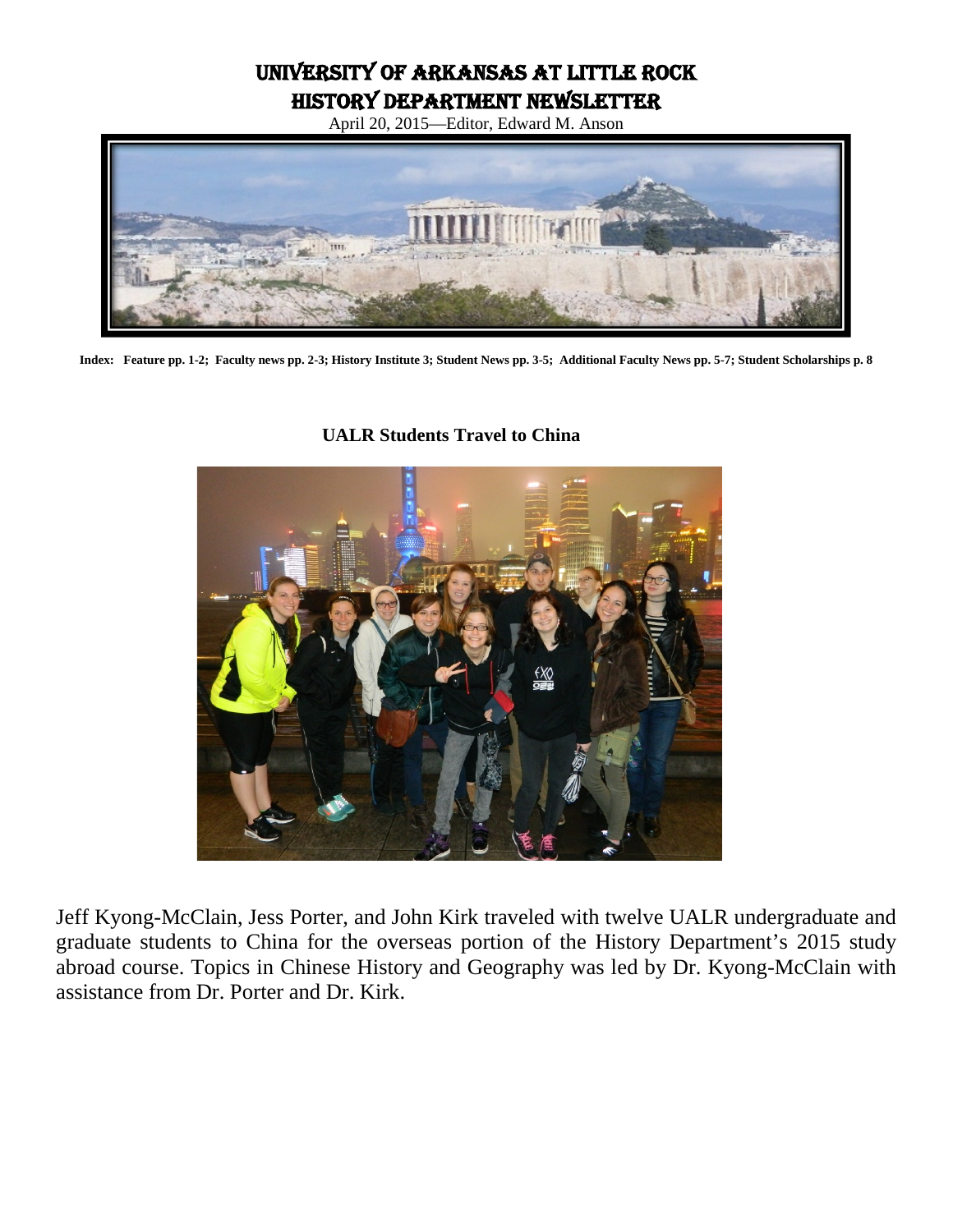University of Arkansas at Little Rock History Department Newsletter

April 20, 2015—Editor, Edward M. Anson



**Index: Feature pp. 1-2; Faculty news pp. 2-3; History Institute 3; Student News pp. 3-5; Additional Faculty News pp. 5-7; Student Scholarships p. 8**

# **UALR Students Travel to China**



Jeff Kyong-McClain, Jess Porter, and John Kirk traveled with twelve UALR undergraduate and graduate students to China for the overseas portion of the History Department's 2015 study abroad course. Topics in Chinese History and Geography was led by Dr. Kyong-McClain with assistance from Dr. Porter and Dr. Kirk.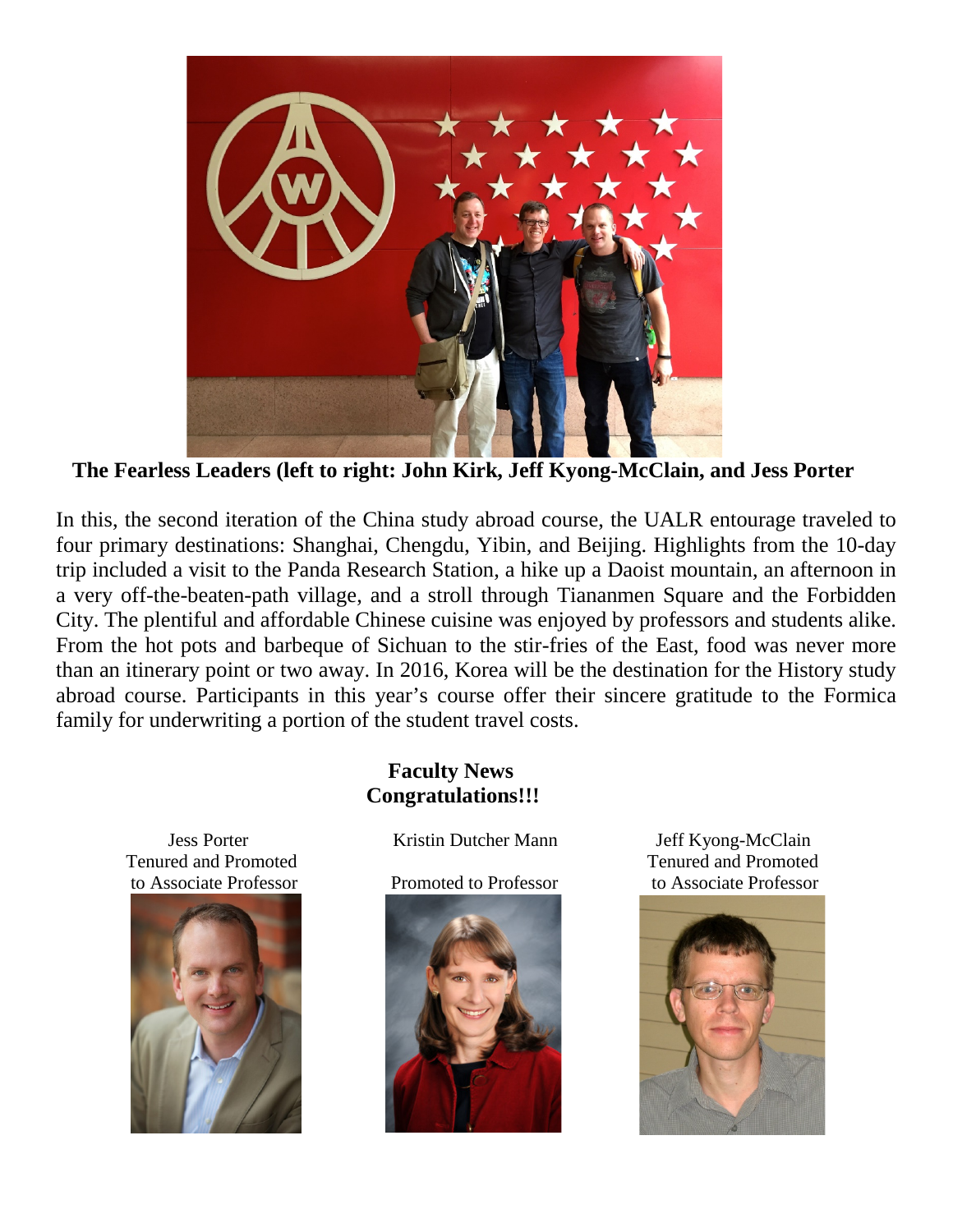

**The Fearless Leaders (left to right: John Kirk, Jeff Kyong-McClain, and Jess Porter**

In this, the second iteration of the China study abroad course, the UALR entourage traveled to four primary destinations: Shanghai, Chengdu, Yibin, and Beijing. Highlights from the 10-day trip included a visit to the Panda Research Station, a hike up a Daoist mountain, an afternoon in a very off-the-beaten-path village, and a stroll through Tiananmen Square and the Forbidden City. The plentiful and affordable Chinese cuisine was enjoyed by professors and students alike. From the hot pots and barbeque of Sichuan to the stir-fries of the East, food was never more than an itinerary point or two away. In 2016, Korea will be the destination for the History study abroad course. Participants in this year's course offer their sincere gratitude to the Formica family for underwriting a portion of the student travel costs.



#### **Faculty News Congratulations!!!**

Jess Porter Kristin Dutcher Mann Jeff Kyong-McClain



 Tenured and Promoted Tenured and Promoted to Associate Professor Promoted to Professor to Associate Professor

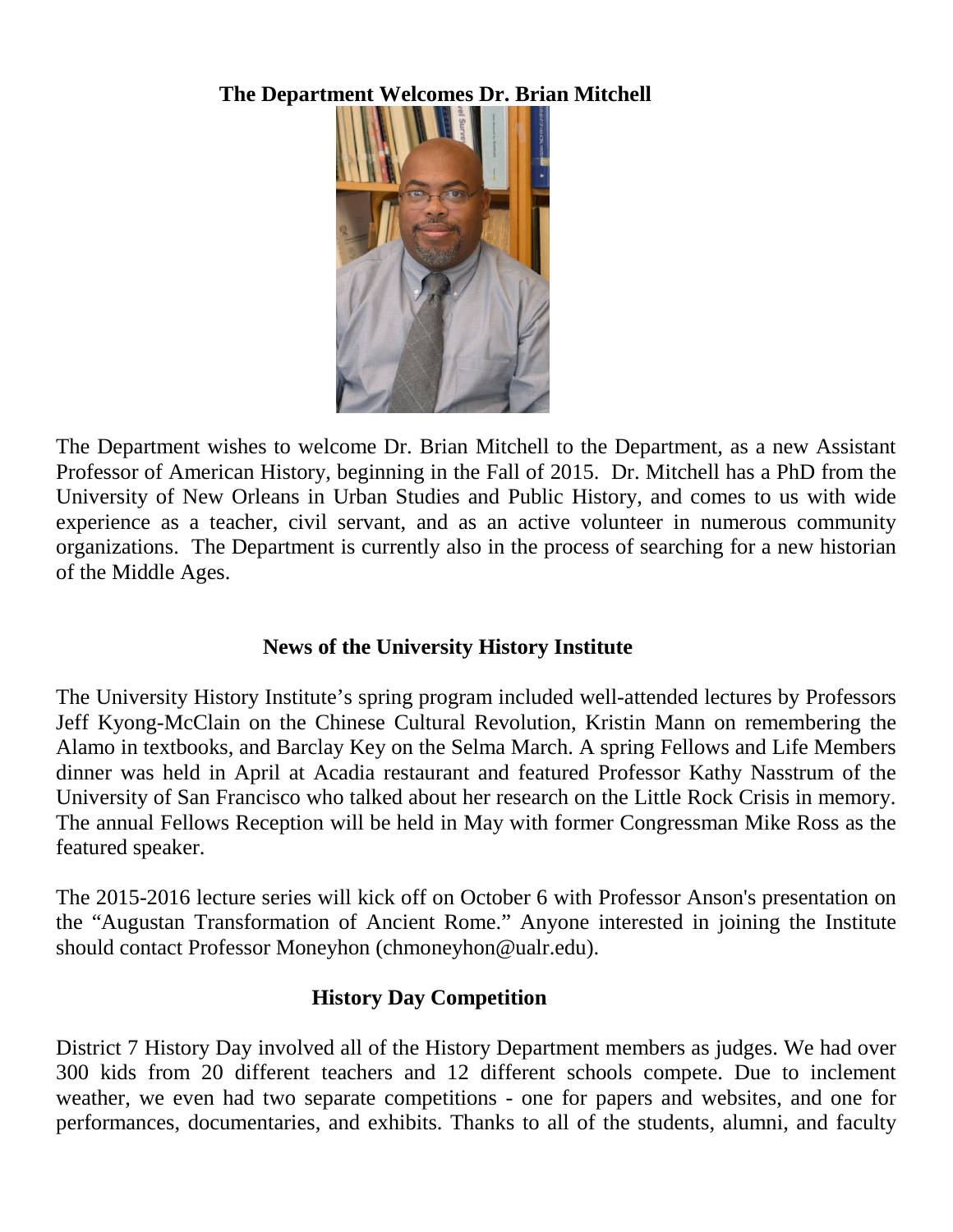# **The Department Welcomes Dr. Brian Mitchell**



The Department wishes to welcome Dr. Brian Mitchell to the Department, as a new Assistant Professor of American History, beginning in the Fall of 2015. Dr. Mitchell has a PhD from the University of New Orleans in Urban Studies and Public History, and comes to us with wide experience as a teacher, civil servant, and as an active volunteer in numerous community organizations. The Department is currently also in the process of searching for a new historian of the Middle Ages.

### **News of the University History Institute**

The University History Institute's spring program included well-attended lectures by Professors Jeff Kyong-McClain on the Chinese Cultural Revolution, Kristin Mann on remembering the Alamo in textbooks, and Barclay Key on the Selma March. A spring Fellows and Life Members dinner was held in April at Acadia restaurant and featured Professor Kathy Nasstrum of the University of San Francisco who talked about her research on the Little Rock Crisis in memory. The annual Fellows Reception will be held in May with former Congressman Mike Ross as the featured speaker.

The 2015-2016 lecture series will kick off on October 6 with Professor Anson's presentation on the "Augustan Transformation of Ancient Rome." Anyone interested in joining the Institute should contact Professor Moneyhon (chmoneyhon@ualr.edu).

# **History Day Competition**

District 7 History Day involved all of the History Department members as judges. We had over 300 kids from 20 different teachers and 12 different schools compete. Due to inclement weather, we even had two separate competitions - one for papers and websites, and one for performances, documentaries, and exhibits. Thanks to all of the students, alumni, and faculty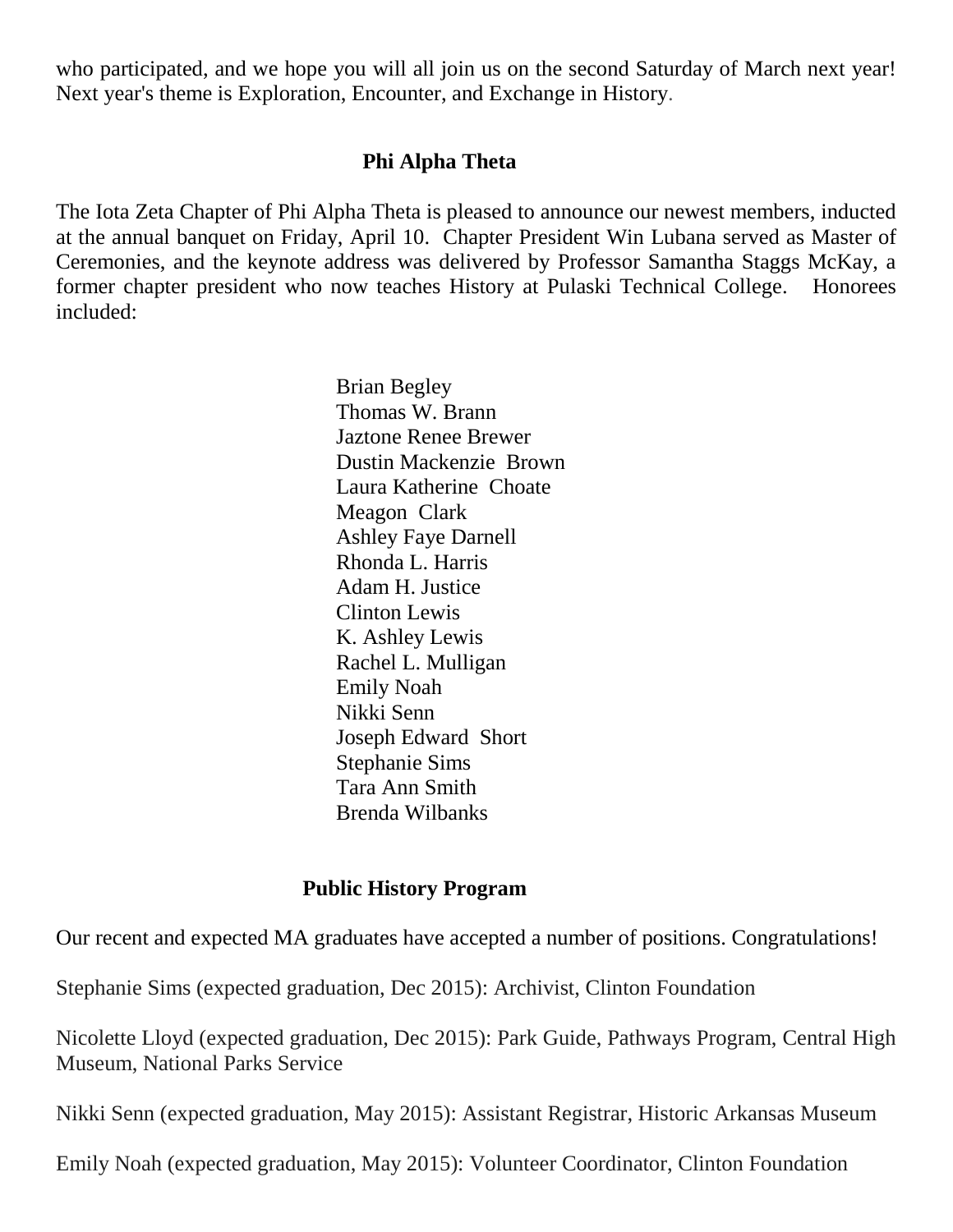who participated, and we hope you will all join us on the second Saturday of March next year! Next year's theme is Exploration, Encounter, and Exchange in History.

#### **Phi Alpha Theta**

The Iota Zeta Chapter of Phi Alpha Theta is pleased to announce our newest members, inducted at the annual banquet on Friday, April 10. Chapter President Win Lubana served as Master of Ceremonies, and the keynote address was delivered by Professor Samantha Staggs McKay, a former chapter president who now teaches History at Pulaski Technical College. Honorees included:

> Brian Begley Thomas W. Brann Jaztone Renee Brewer Dustin Mackenzie Brown Laura Katherine Choate Meagon Clark Ashley Faye Darnell Rhonda L. Harris Adam H. Justice Clinton Lewis K. Ashley Lewis Rachel L. Mulligan Emily Noah Nikki Senn Joseph Edward Short Stephanie Sims Tara Ann Smith Brenda Wilbanks

#### **Public History Program**

Our recent and expected MA graduates have accepted a number of positions. Congratulations!

Stephanie Sims (expected graduation, Dec 2015): Archivist, Clinton Foundation

Nicolette Lloyd (expected graduation, Dec 2015): Park Guide, Pathways Program, Central High Museum, National Parks Service

Nikki Senn (expected graduation, May 2015): Assistant Registrar, Historic Arkansas Museum

Emily Noah (expected graduation, May 2015): Volunteer Coordinator, Clinton Foundation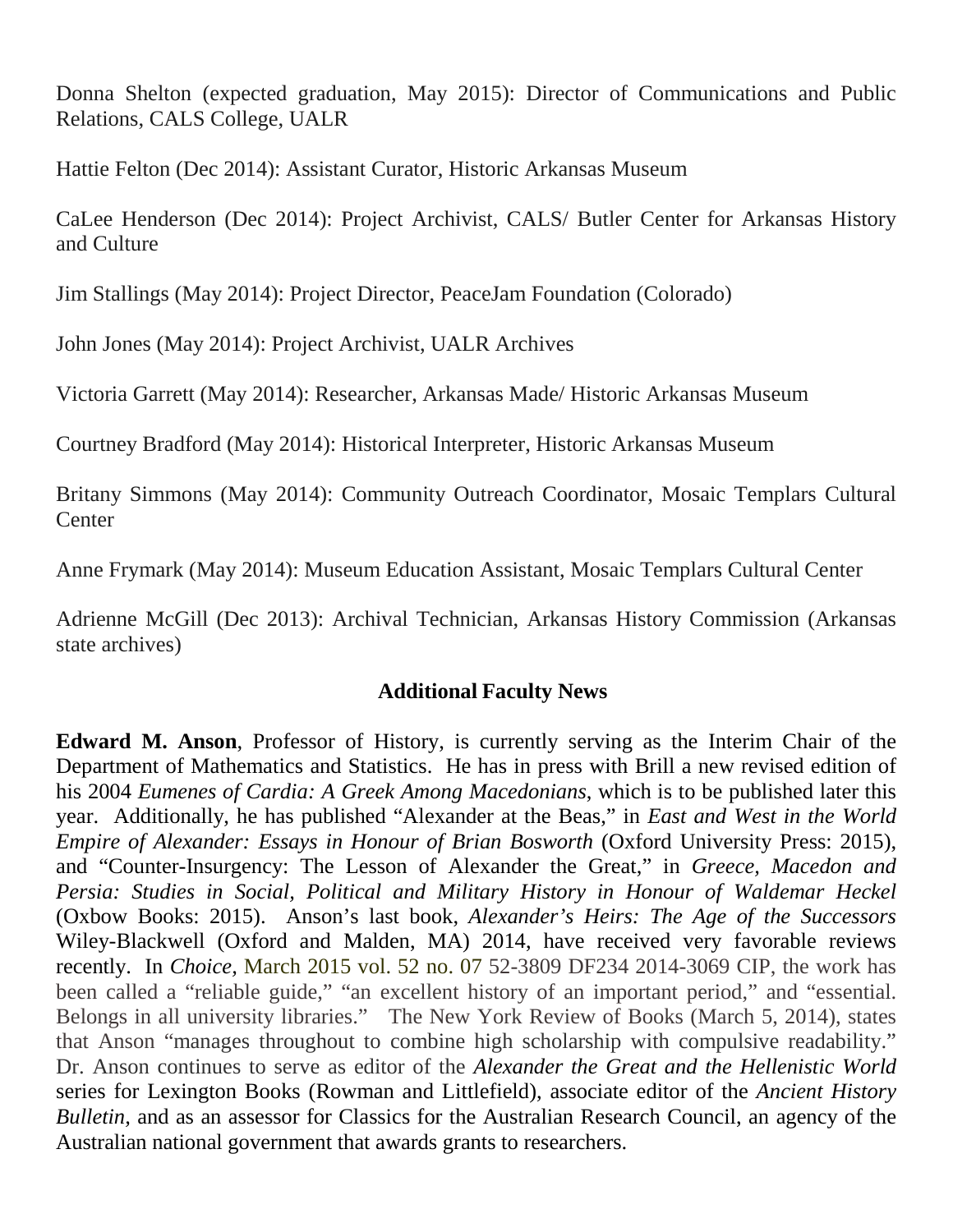Donna Shelton (expected graduation, May 2015): Director of Communications and Public Relations, CALS College, UALR

Hattie Felton (Dec 2014): Assistant Curator, Historic Arkansas Museum

CaLee Henderson (Dec 2014): Project Archivist, CALS/ Butler Center for Arkansas History and Culture

Jim Stallings (May 2014): Project Director, PeaceJam Foundation (Colorado)

John Jones (May 2014): Project Archivist, UALR Archives

Victoria Garrett (May 2014): Researcher, Arkansas Made/ Historic Arkansas Museum

Courtney Bradford (May 2014): Historical Interpreter, Historic Arkansas Museum

Britany Simmons (May 2014): Community Outreach Coordinator, Mosaic Templars Cultural **Center** 

Anne Frymark (May 2014): Museum Education Assistant, Mosaic Templars Cultural Center

Adrienne McGill (Dec 2013): Archival Technician, Arkansas History Commission (Arkansas state archives)

# **Additional Faculty News**

**Edward M. Anson**, Professor of History, is currently serving as the Interim Chair of the Department of Mathematics and Statistics. He has in press with Brill a new revised edition of his 2004 *Eumenes of Cardia: A Greek Among Macedonians*, which is to be published later this year. Additionally, he has published "Alexander at the Beas," in *East and West in the World Empire of Alexander: Essays in Honour of Brian Bosworth (Oxford University Press: 2015),* and "Counter-Insurgency: The Lesson of Alexander the Great," in *Greece, Macedon and Persia: Studies in Social, Political and Military History in Honour of Waldemar Heckel*  (Oxbow Books: 2015). Anson's last book, *Alexander's Heirs: The Age of the Successors* Wiley-Blackwell (Oxford and Malden, MA) 2014, have received very favorable reviews recently. In *Choice,* March 2015 vol. 52 no. 07 52-3809 DF234 2014-3069 CIP, the work has been called a "reliable guide," "an excellent history of an important period," and "essential. Belongs in all university libraries." The New York Review of Books (March 5, 2014), states that Anson "manages throughout to combine high scholarship with compulsive readability." Dr. Anson continues to serve as editor of the *Alexander the Great and the Hellenistic World* series for Lexington Books (Rowman and Littlefield), associate editor of the *Ancient History Bulletin,* and as an assessor for Classics for the Australian Research Council, an agency of the Australian national government that awards grants to researchers.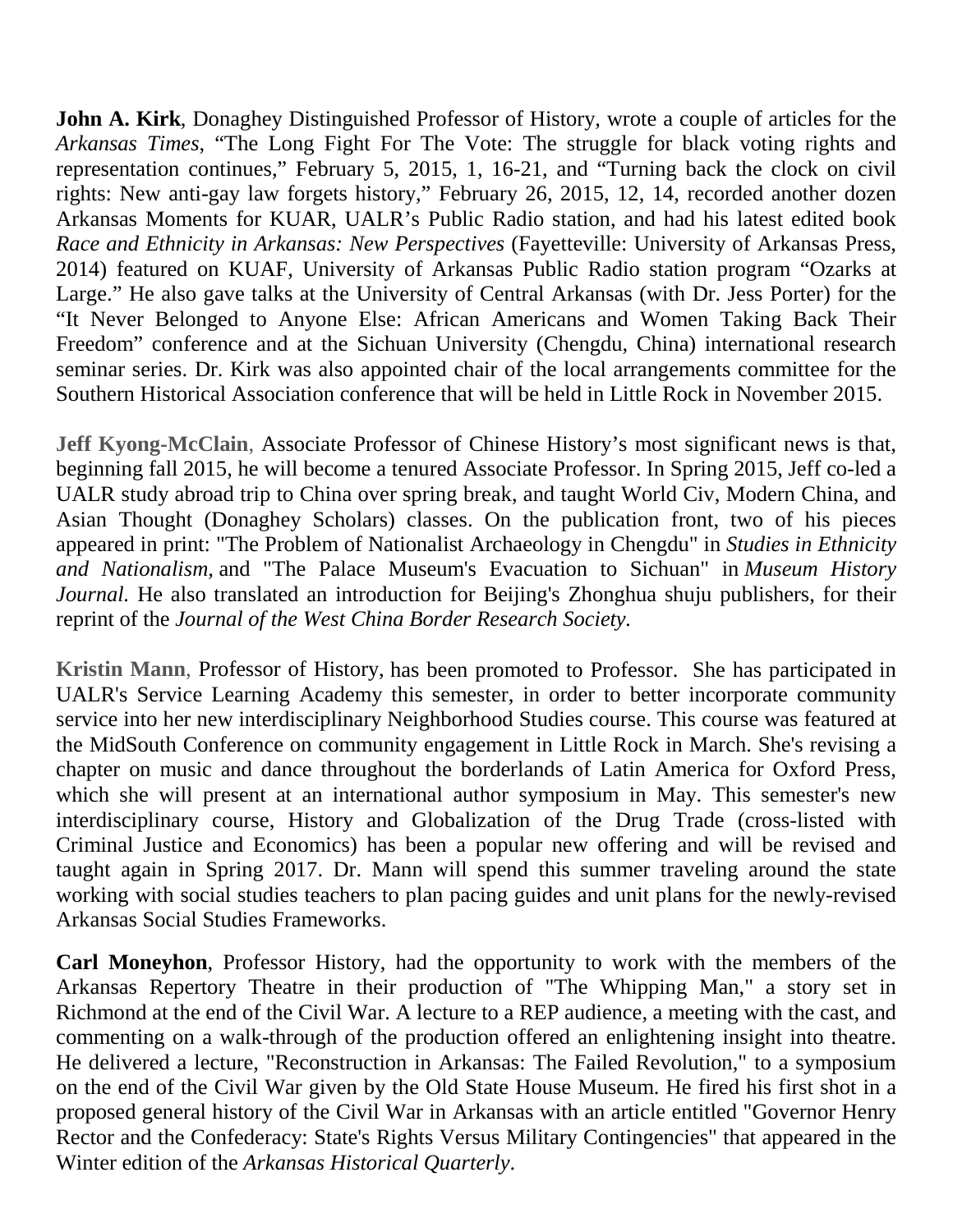**John A. Kirk**, Donaghey Distinguished Professor of History, wrote a couple of articles for the *Arkansas Times*, "The Long Fight For The Vote: The struggle for black voting rights and representation continues," February 5, 2015, 1, 16-21, and "Turning back the clock on civil rights: New anti-gay law forgets history," February 26, 2015, 12, 14, recorded another dozen Arkansas Moments for KUAR, UALR's Public Radio station, and had his latest edited book *Race and Ethnicity in Arkansas: New Perspectives* (Fayetteville: University of Arkansas Press, 2014) featured on KUAF, University of Arkansas Public Radio station program "Ozarks at Large." He also gave talks at the University of Central Arkansas (with Dr. Jess Porter) for the "It Never Belonged to Anyone Else: African Americans and Women Taking Back Their Freedom" conference and at the Sichuan University (Chengdu, China) international research seminar series. Dr. Kirk was also appointed chair of the local arrangements committee for the Southern Historical Association conference that will be held in Little Rock in November 2015.

**Jeff Kyong-McClain**, Associate Professor of Chinese History's most significant news is that, beginning fall 2015, he will become a tenured Associate Professor. In Spring 2015, Jeff co-led a UALR study abroad trip to China over spring break, and taught World Civ, Modern China, and Asian Thought (Donaghey Scholars) classes. On the publication front, two of his pieces appeared in print: "The Problem of Nationalist Archaeology in Chengdu" in *Studies in Ethnicity and Nationalism,* and "The Palace Museum's Evacuation to Sichuan" in *Museum History Journal.* He also translated an introduction for Beijing's Zhonghua shuju publishers, for their reprint of the *Journal of the West China Border Research Society.*

**Kristin Mann**, Professor of History, has been promoted to Professor. She has participated in UALR's Service Learning Academy this semester, in order to better incorporate community service into her new interdisciplinary Neighborhood Studies course. This course was featured at the MidSouth Conference on community engagement in Little Rock in March. She's revising a chapter on music and dance throughout the borderlands of Latin America for Oxford Press, which she will present at an international author symposium in May. This semester's new interdisciplinary course, History and Globalization of the Drug Trade (cross-listed with Criminal Justice and Economics) has been a popular new offering and will be revised and taught again in Spring 2017. Dr. Mann will spend this summer traveling around the state working with social studies teachers to plan pacing guides and unit plans for the newly-revised Arkansas Social Studies Frameworks.

**Carl Moneyhon**, Professor History, had the opportunity to work with the members of the Arkansas Repertory Theatre in their production of "The Whipping Man," a story set in Richmond at the end of the Civil War. A lecture to a REP audience, a meeting with the cast, and commenting on a walk-through of the production offered an enlightening insight into theatre. He delivered a lecture, "Reconstruction in Arkansas: The Failed Revolution," to a symposium on the end of the Civil War given by the Old State House Museum. He fired his first shot in a proposed general history of the Civil War in Arkansas with an article entitled "Governor Henry Rector and the Confederacy: State's Rights Versus Military Contingencies" that appeared in the Winter edition of the *Arkansas Historical Quarterly*.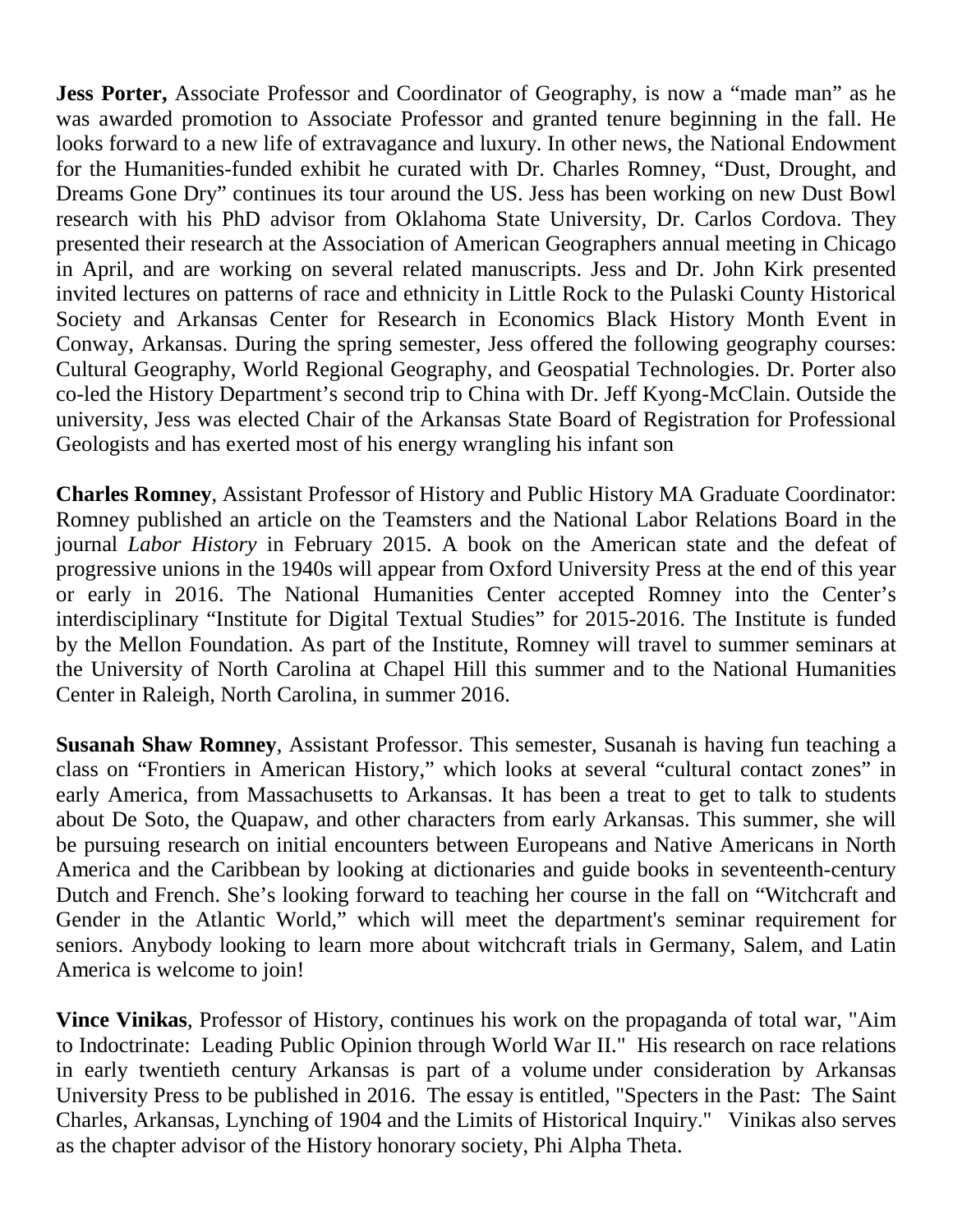**Jess Porter,** Associate Professor and Coordinator of Geography, is now a "made man" as he was awarded promotion to Associate Professor and granted tenure beginning in the fall. He looks forward to a new life of extravagance and luxury. In other news, the National Endowment for the Humanities-funded exhibit he curated with Dr. Charles Romney, "Dust, Drought, and Dreams Gone Dry" continues its tour around the US. Jess has been working on new Dust Bowl research with his PhD advisor from Oklahoma State University, Dr. Carlos Cordova. They presented their research at the Association of American Geographers annual meeting in Chicago in April, and are working on several related manuscripts. Jess and Dr. John Kirk presented invited lectures on patterns of race and ethnicity in Little Rock to the Pulaski County Historical Society and Arkansas Center for Research in Economics Black History Month Event in Conway, Arkansas. During the spring semester, Jess offered the following geography courses: Cultural Geography, World Regional Geography, and Geospatial Technologies. Dr. Porter also co-led the History Department's second trip to China with Dr. Jeff Kyong-McClain. Outside the university, Jess was elected Chair of the Arkansas State Board of Registration for Professional Geologists and has exerted most of his energy wrangling his infant son

**Charles Romney**, Assistant Professor of History and Public History MA Graduate Coordinator: Romney published an article on the Teamsters and the National Labor Relations Board in the journal *Labor History* in February 2015. A book on the American state and the defeat of progressive unions in the 1940s will appear from Oxford University Press at the end of this year or early in 2016. The National Humanities Center accepted Romney into the Center's interdisciplinary "Institute for Digital Textual Studies" for 2015-2016. The Institute is funded by the Mellon Foundation. As part of the Institute, Romney will travel to summer seminars at the University of North Carolina at Chapel Hill this summer and to the National Humanities Center in Raleigh, North Carolina, in summer 2016.

**Susanah Shaw Romney**, Assistant Professor. This semester, Susanah is having fun teaching a class on "Frontiers in American History," which looks at several "cultural contact zones" in early America, from Massachusetts to Arkansas. It has been a treat to get to talk to students about De Soto, the Quapaw, and other characters from early Arkansas. This summer, she will be pursuing research on initial encounters between Europeans and Native Americans in North America and the Caribbean by looking at dictionaries and guide books in seventeenth-century Dutch and French. She's looking forward to teaching her course in the fall on "Witchcraft and Gender in the Atlantic World," which will meet the department's seminar requirement for seniors. Anybody looking to learn more about witchcraft trials in Germany, Salem, and Latin America is welcome to join!

**Vince Vinikas**, Professor of History, continues his work on the propaganda of total war, "Aim to Indoctrinate: Leading Public Opinion through World War II." His research on race relations in early twentieth century Arkansas is part of a volume under consideration by Arkansas University Press to be published in 2016. The essay is entitled, "Specters in the Past: The Saint Charles, Arkansas, Lynching of 1904 and the Limits of Historical Inquiry." Vinikas also serves as the chapter advisor of the History honorary society, Phi Alpha Theta.